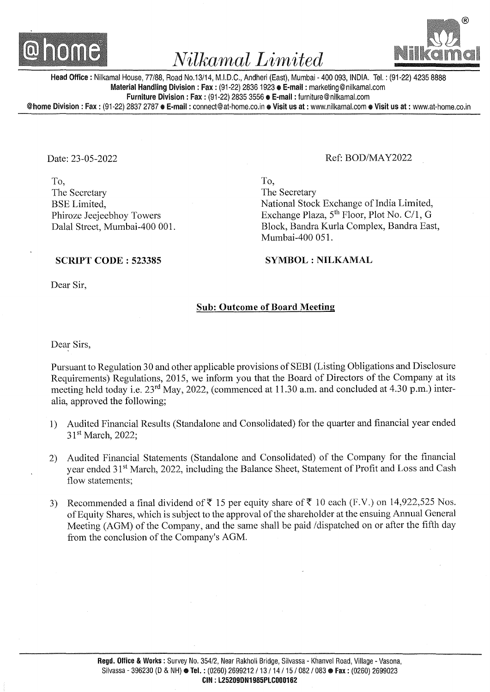

# *Nilkamal Limited*



Head Office: Nilkamal House, 77/88, Road No.13/14, M.I.D.C., Andheri (East), Mumbai- 400 093, INDIA. Tel.: (91-22) 4235 8888 Material Handling Division: Fax: (91-22) 2836 1923 **e E-mail:** marketing@nilkamal.com Furniture Division: Fax: (91-22) 2835 3556 e E-mail: furniture@nilkamal.com

@home Division: Fax: (91-22) 2837 2787 • E-mail: connect@at-home.co.in • Visit us at: www.nilkamal.com • Visit us at: www.at-home.co.in

Date: 23-05-2022

To, The Secretary BSE Limited, Phiroze Jeejeebhoy Towers Dalal Street, Mumbai-400 001.

## Ref: BOD/MA Y2022

To, The Secretary National Stock Exchange of India Limited, Exchange Plaza, 5<sup>th</sup> Floor, Plot No. C/1, G Block, Bandra Kurla Complex, Bandra East, Mumbai-400 051.

SYMBOL : NILKAMAL

#### SCRIPT CODE : 523385

Dear Sir,

## Sub: Outcome of Board Meeting

Dear Sirs,

Pursuant to Regulation 30 and other applicable provisions of SEBI (Listing Obligations and Disclosure Requirements) Regulations, 2015, we inform you that the Board of Directors of the Company at its meeting held today i.e. 23<sup>rd</sup> May, 2022, (commenced at 11.30 a.m. and concluded at 4.30 p.m.) interalia, approved the following;

- 1) Audited Financial Results (Standalone and Consolidated) for the quarter and financial year ended 31<sup>st</sup> March, 2022;
- 2) Audited Financial Statements (Standalone and Consolidated) of the Company for the financial year ended 31st March, 2022, including the Balance Sheet, Statement of Profit and Loss and Cash flow statements;
- 3) Recommended a final dividend of  $\overline{\xi}$  15 per equity share of  $\overline{\xi}$  10 each (F.V.) on 14,922,525 Nos. of Equity Shares, which is subject to the approval of the shareholder at the ensuing Annual General Meeting (AGM) of the Company, and the same shall be paid /dispatched on or after the fifth day from the conclusion of the Company's AGM.